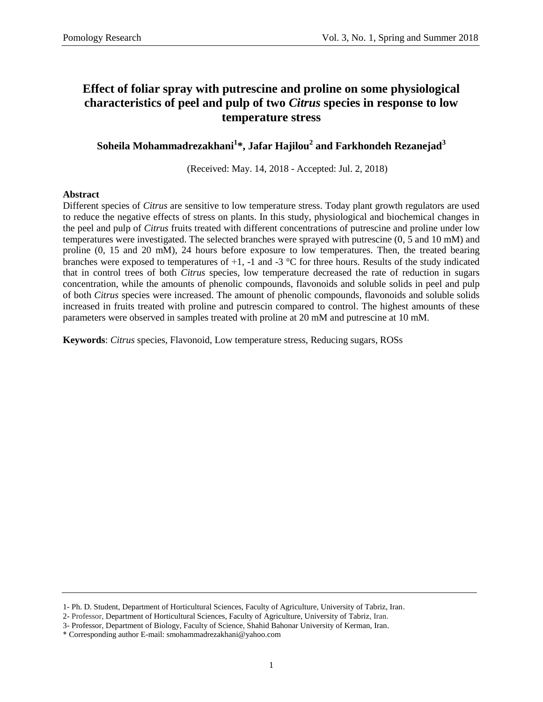# **Effect of foliar spray with putrescine and proline on some physiological characteristics of peel and pulp of two** *Citrus* **species in response to low temperature stress**

**Soheila Mohammadrezakhani<sup>1</sup> \*, Jafar Hajilou<sup>2</sup> and Farkhondeh Rezanejad<sup>3</sup>**

(Received: May. 14, 2018 - Accepted: Jul. 2, 2018)

### **Abstract**

Different species of *Citrus* are sensitive to low temperature stress. Today plant growth regulators are used to reduce the negative effects of stress on plants. In this study, physiological and biochemical changes in the peel and pulp of *Citrus* fruits treated with different concentrations of putrescine and proline under low temperatures were investigated. The selected branches were sprayed with putrescine (0, 5 and 10 mM) and proline (0, 15 and 20 mM), 24 hours before exposure to low temperatures. Then, the treated bearing branches were exposed to temperatures of  $+1$ ,  $-1$  and  $-3$  °C for three hours. Results of the study indicated that in control trees of both *Citrus* species, low temperature decreased the rate of reduction in sugars concentration, while the amounts of phenolic compounds, flavonoids and soluble solids in peel and pulp of both *Citrus* species were increased. The amount of phenolic compounds, flavonoids and soluble solids increased in fruits treated with proline and putrescin compared to control. The highest amounts of these parameters were observed in samples treated with proline at 20 mM and putrescine at 10 mM.

**Keywords**: *Citrus* species, Flavonoid, Low temperature stress, Reducing sugars, ROSs

<sup>1-</sup> Ph. D. Student, Department of Horticultural Sciences, Faculty of Agriculture, University of Tabriz, Iran.

<sup>2-</sup> Professor, Department of Horticultural Sciences, Faculty of Agriculture, University of Tabriz, Iran.

<sup>3-</sup> Professor, Department of Biology, Faculty of Science, Shahid Bahonar University of Kerman, Iran.

<sup>\*</sup> Corresponding author E-mail: smohammadrezakhani@yahoo.com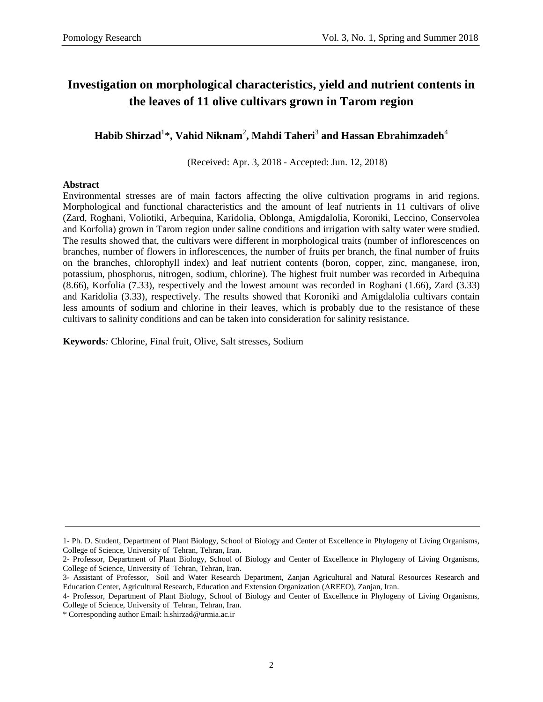# **Investigation on morphological characteristics, yield and nutrient contents in the leaves of 11 olive cultivars grown in Tarom region**

 $\mathbf{H}$ abib Shirzad $^{1\ast}$ , Vahid Niknam $^{2}$ , Mahdi Taheri $^{3}$  and Hassan Ebrahimzadeh $^{4}$ 

(Received: Apr. 3, 2018 - Accepted: Jun. 12, 2018)

### **Abstract**

Environmental stresses are of main factors affecting the olive cultivation programs in arid regions. Morphological and functional characteristics and the amount of leaf nutrients in 11 cultivars of olive (Zard, Roghani, Voliotiki, Arbequina, Karidolia, Oblonga, Amigdalolia, Koroniki, Leccino, Conservolea and Korfolia) grown in Tarom region under saline conditions and irrigation with salty water were studied. The results showed that, the cultivars were different in morphological traits (number of inflorescences on branches, number of flowers in inflorescences, the number of fruits per branch, the final number of fruits on the branches, chlorophyll index) and leaf nutrient contents (boron, copper, zinc, manganese, iron, potassium, phosphorus, nitrogen, sodium, chlorine). The highest fruit number was recorded in Arbequina (8.66), Korfolia (7.33), respectively and the lowest amount was recorded in Roghani (1.66), Zard (3.33) and Karidolia (3.33), respectively. The results showed that Koroniki and Amigdalolia cultivars contain less amounts of sodium and chlorine in their leaves, which is probably due to the resistance of these cultivars to salinity conditions and can be taken into consideration for salinity resistance.

**Keywords***:* Chlorine, Final fruit, Olive, Salt stresses, Sodium

<sup>1-</sup> Ph. D. Student, Department of Plant Biology, School of Biology and Center of Excellence in Phylogeny of Living Organisms, College of Science, University of Tehran, Tehran, Iran.

<sup>2-</sup> Professor, Department of Plant Biology, School of Biology and Center of Excellence in Phylogeny of Living Organisms, College of Science, University of Tehran, Tehran, Iran.

<sup>3-</sup> Assistant of Professor, Soil and Water Research Department, Zanjan Agricultural and Natural Resources Research and Education Center, Agricultural Research, Education and Extension Organization (AREEO), Zanjan, Iran.

<sup>4-</sup> Professor, Department of Plant Biology, School of Biology and Center of Excellence in Phylogeny of Living Organisms, College of Science, University of Tehran, Tehran, Iran.

<sup>\*</sup> Corresponding author Email: h.shirzad@urmia.ac.ir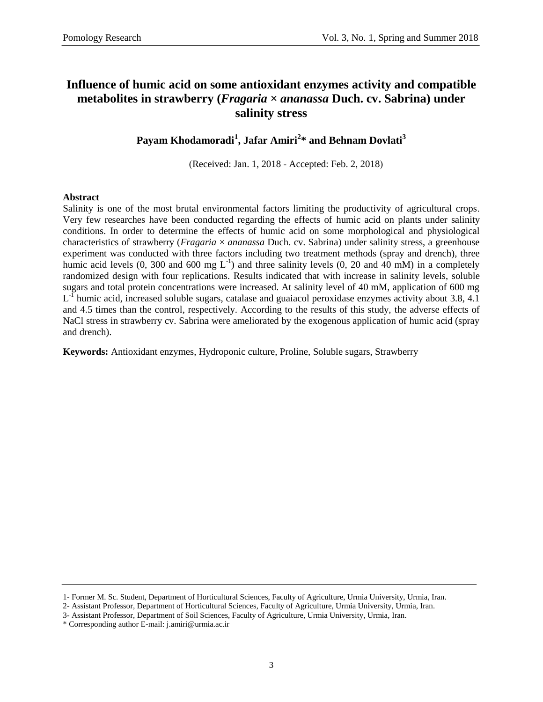# **Influence of humic acid on some antioxidant enzymes activity and compatible metabolites in strawberry (***Fragaria* **×** *ananassa* **Duch. cv. Sabrina) under salinity stress**

### **Payam Khodamoradi<sup>1</sup> , Jafar Amiri<sup>2</sup> \* and Behnam Dovlati<sup>3</sup>**

(Received: Jan. 1, 2018 - Accepted: Feb. 2, 2018)

### **Abstract**

Salinity is one of the most brutal environmental factors limiting the productivity of agricultural crops. Very few researches have been conducted regarding the effects of humic acid on plants under salinity conditions. In order to determine the effects of humic acid on some morphological and physiological characteristics of strawberry (*Fragaria* × *ananassa* Duch. cv. Sabrina) under salinity stress, a greenhouse experiment was conducted with three factors including two treatment methods (spray and drench), three humic acid levels (0, 300 and 600 mg  $L^{-1}$ ) and three salinity levels (0, 20 and 40 mM) in a completely randomized design with four replications. Results indicated that with increase in salinity levels, soluble sugars and total protein concentrations were increased. At salinity level of 40 mM, application of 600 mg  $L<sup>-1</sup>$  humic acid, increased soluble sugars, catalase and guaiacol peroxidase enzymes activity about 3.8, 4.1 and 4.5 times than the control, respectively. According to the results of this study, the adverse effects of NaCl stress in strawberry cv. Sabrina were ameliorated by the exogenous application of humic acid (spray and drench).

**Keywords:** Antioxidant enzymes, Hydroponic culture, Proline, Soluble sugars, Strawberry

<sup>1-</sup> Former M. Sc. Student, Department of Horticultural Sciences, Faculty of Agriculture, Urmia University, Urmia, Iran.

<sup>2-</sup> Assistant Professor, Department of Horticultural Sciences, Faculty of Agriculture, Urmia University, Urmia, Iran.

<sup>3-</sup> Assistant Professor, Department of Soil Sciences, Faculty of Agriculture, Urmia University, Urmia, Iran.

<sup>\*</sup> Corresponding author E-mail: j.amiri@urmia.ac.ir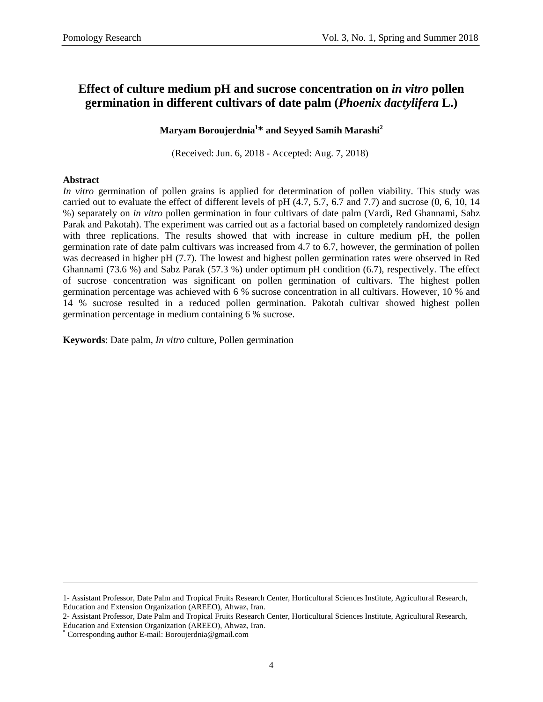# **Effect of culture medium pH and sucrose concentration on** *in vitro* **pollen germination in different cultivars of date palm (***Phoenix dactylifera* **L.)**

### **Maryam Boroujerdnia<sup>1</sup> \* and Seyyed Samih Marashi<sup>2</sup>**

(Received: Jun. 6, 2018 - Accepted: Aug. 7, 2018)

### **Abstract**

*In vitro* germination of pollen grains is applied for determination of pollen viability. This study was carried out to evaluate the effect of different levels of pH (4.7, 5.7, 6.7 and 7.7) and sucrose (0, 6, 10, 14 %) separately on *in vitro* pollen germination in four cultivars of date palm (Vardi, Red Ghannami, Sabz Parak and Pakotah). The experiment was carried out as a factorial based on completely randomized design with three replications. The results showed that with increase in culture medium pH, the pollen germination rate of date palm cultivars was increased from 4.7 to 6.7, however, the germination of pollen was decreased in higher pH (7.7). The lowest and highest pollen germination rates were observed in Red Ghannami (73.6 %) and Sabz Parak (57.3 %) under optimum pH condition (6.7), respectively. The effect of sucrose concentration was significant on pollen germination of cultivars. The highest pollen germination percentage was achieved with 6 % sucrose concentration in all cultivars. However, 10 % and 14 % sucrose resulted in a reduced pollen germination. Pakotah cultivar showed highest pollen germination percentage in medium containing 6 % sucrose.

**Keywords**: Date palm, *In vitro* culture, Pollen germination

<sup>1-</sup> Assistant Professor, Date Palm and Tropical Fruits Research Center, Horticultural Sciences Institute, Agricultural Research, Education and Extension Organization (AREEO), Ahwaz, Iran.

<sup>2-</sup> Assistant Professor, Date Palm and Tropical Fruits Research Center, Horticultural Sciences Institute, Agricultural Research, Education and Extension Organization (AREEO), Ahwaz, Iran.

Corresponding author E-mail: Boroujerdnia@gmail.com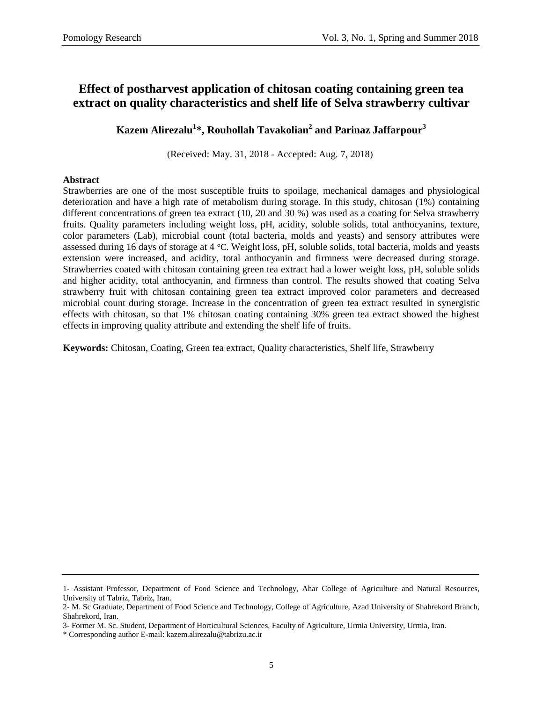# **Effect of postharvest application of chitosan coating containing green tea extract on quality characteristics and shelf life of Selva strawberry cultivar**

### **Kazem Alirezalu<sup>1</sup> \*, Rouhollah Tavakolian<sup>2</sup> and Parinaz Jaffarpour<sup>3</sup>**

(Received: May. 31, 2018 - Accepted: Aug. 7, 2018)

### **Abstract**

Strawberries are one of the most susceptible fruits to spoilage, mechanical damages and physiological deterioration and have a high rate of metabolism during storage. In this study, chitosan (1%) containing different concentrations of green tea extract (10, 20 and 30 %) was used as a coating for Selva strawberry fruits. Quality parameters including weight loss, pH, acidity, soluble solids, total anthocyanins, texture, color parameters (Lab), microbial count (total bacteria, molds and yeasts) and sensory attributes were assessed during 16 days of storage at 4 °C. Weight loss, pH, soluble solids, total bacteria, molds and yeasts extension were increased, and acidity, total anthocyanin and firmness were decreased during storage. Strawberries coated with chitosan containing green tea extract had a lower weight loss, pH, soluble solids and higher acidity, total anthocyanin, and firmness than control. The results showed that coating Selva strawberry fruit with chitosan containing green tea extract improved color parameters and decreased microbial count during storage. Increase in the concentration of green tea extract resulted in synergistic effects with chitosan, so that 1% chitosan coating containing 30% green tea extract showed the highest effects in improving quality attribute and extending the shelf life of fruits.

**Keywords:** Chitosan, Coating, Green tea extract, Quality characteristics, Shelf life, Strawberry

<sup>1-</sup> Assistant Professor, Department of Food Science and Technology, Ahar College of Agriculture and Natural Resources, University of Tabriz, Tabriz, Iran.

<sup>2-</sup> M. Sc Graduate, Department of Food Science and Technology, College of Agriculture, Azad University of Shahrekord Branch, Shahrekord, Iran.

<sup>3-</sup> Former M. Sc. Student, Department of Horticultural Sciences, Faculty of Agriculture, Urmia University, Urmia, Iran.

<sup>\*</sup> Corresponding author E-mail: kazem.alirezalu@tabrizu.ac.ir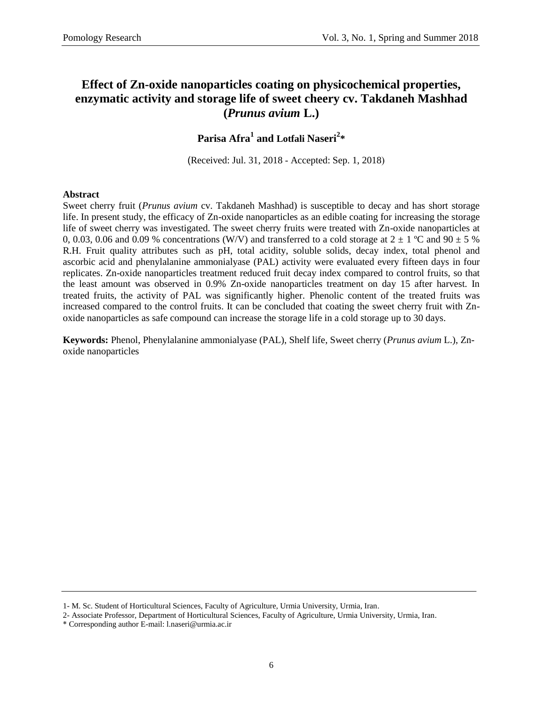# **Effect of Zn-oxide nanoparticles coating on physicochemical properties, enzymatic activity and storage life of sweet cheery cv. Takdaneh Mashhad (***Prunus avium* **L.)**

# **Parisa Afra<sup>1</sup> and Lotfali Naseri<sup>2</sup> \***

(Received: Jul. 31, 2018 - Accepted: Sep. 1, 2018)

### **Abstract**

Sweet cherry fruit (*Prunus avium* cv. Takdaneh Mashhad) is susceptible to decay and has short storage life. In present study, the efficacy of Zn-oxide nanoparticles as an edible coating for increasing the storage life of sweet cherry was investigated. The sweet cherry fruits were treated with Zn-oxide nanoparticles at 0, 0.03, 0.06 and 0.09 % concentrations (W/V) and transferred to a cold storage at  $2 \pm 1$  °C and  $90 \pm 5$  % R.H. Fruit quality attributes such as pH, total acidity, soluble solids, decay index, total phenol and ascorbic acid and phenylalanine ammonialyase (PAL) activity were evaluated every fifteen days in four replicates. Zn-oxide nanoparticles treatment reduced fruit decay index compared to control fruits, so that the least amount was observed in 0.9% Zn-oxide nanoparticles treatment on day 15 after harvest. In treated fruits, the activity of PAL was significantly higher. Phenolic content of the treated fruits was increased compared to the control fruits. It can be concluded that coating the sweet cherry fruit with Znoxide nanoparticles as safe compound can increase the storage life in a cold storage up to 30 days.

**Keywords:** Phenol, Phenylalanine ammonialyase (PAL), Shelf life, Sweet cherry (*Prunus avium* L.), Znoxide nanoparticles

<sup>1-</sup> M. Sc. Student of Horticultural Sciences, Faculty of Agriculture, Urmia University, Urmia, Iran.

<sup>2-</sup> Associate Professor, Department of Horticultural Sciences, Faculty of Agriculture, Urmia University, Urmia, Iran.

<sup>\*</sup> Corresponding author E-mail: [l.naseri@urmia.ac.ir](mailto:l.naseri@urmia.ac.ir)